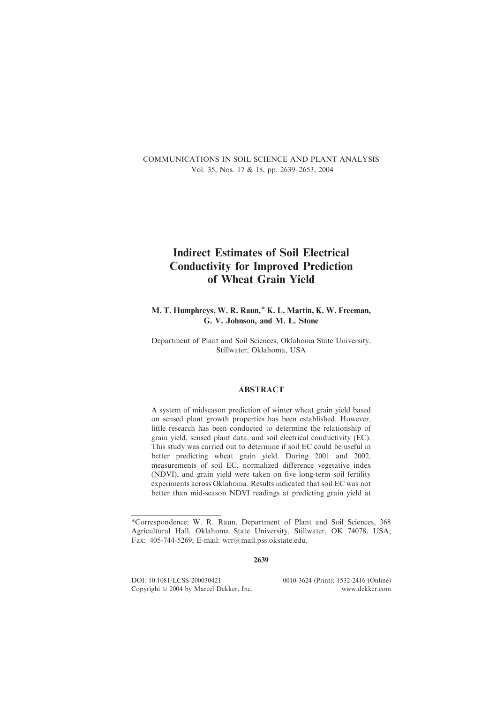COMMUNICATIONS IN SOIL SCIENCE AND PLANT ANALYSIS Vol. 35, Nos. 17 & 18, pp. 2639–2653, 2004

# Indirect Estimates of Soil Electrical Conductivity for Improved Prediction of Wheat Grain Yield

M. T. Humphreys, W. R. Raun,\* K. L. Martin, K. W. Freeman, G. V. Johnson, and M. L. Stone

Department of Plant and Soil Sciences, Oklahoma State University, Stillwater, Oklahoma, USA

# ABSTRACT

A system of midseason prediction of winter wheat grain yield based on sensed plant growth properties has been established. However, little research has been conducted to determine the relationship of grain yield, sensed plant data, and soil electrical conductivity (EC). This study was carried out to determine if soil EC could be useful in better predicting wheat grain yield. During 2001 and 2002, measurements of soil EC, normalized difference vegetative index (NDVI), and grain yield were taken on five long-term soil fertility experiments across Oklahoma. Results indicated that soil EC was not better than mid-season NDVI readings at predicting grain yield at

2639

DOI: 10.1081/LCSS-200030421 0010-3624 (Print); 1532-2416 (Online)<br>Copyright © 2004 by Marcel Dekker, Inc. www.dekker.com Copyright  $\odot$  2004 by Marcel Dekker, Inc.

<sup>\*</sup>Correspondence: W. R. Raun, Department of Plant and Soil Sciences, 368 Agricultural Hall, Oklahoma State University, Stillwater, OK 74078, USA; Fax: 405-744-5269; E-mail: wrr@mail.pss.okstate.edu.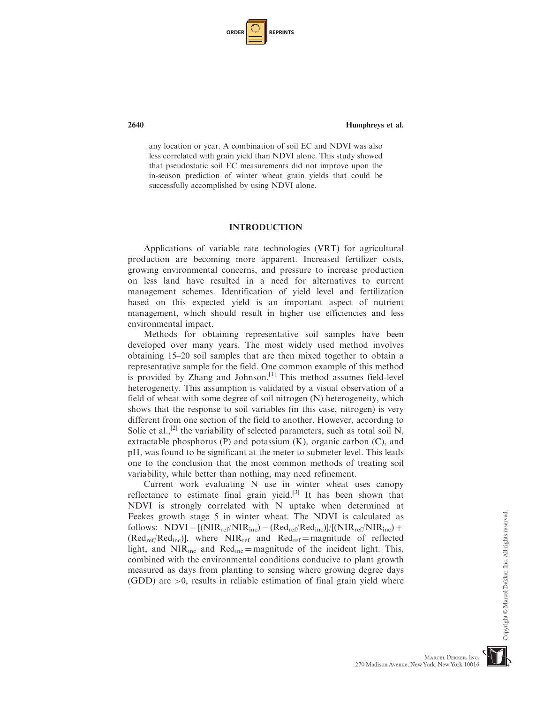| ORDER |  | <b>REPRINTS</b> |
|-------|--|-----------------|
|-------|--|-----------------|

any location or year. A combination of soil EC and NDVI was also less correlated with grain yield than NDVI alone. This study showed that pseudostatic soil EC measurements did not improve upon the in-season prediction of winter wheat grain yields that could be successfully accomplished by using NDVI alone.

## INTRODUCTION

Applications of variable rate technologies (VRT) for agricultural production are becoming more apparent. Increased fertilizer costs, growing environmental concerns, and pressure to increase production on less land have resulted in a need for alternatives to current management schemes. Identification of yield level and fertilization based on this expected yield is an important aspect of nutrient management, which should result in higher use efficiencies and less environmental impact.

Methods for obtaining representative soil samples have been developed over many years. The most widely used method involves obtaining 15–20 soil samples that are then mixed together to obtain a representative sample for the field. One common example of this method is provided by Zhang and Johnson.<sup>[1]</sup> This method assumes field-level heterogeneity. This assumption is validated by a visual observation of a field of wheat with some degree of soil nitrogen (N) heterogeneity, which shows that the response to soil variables (in this case, nitrogen) is very different from one section of the field to another. However, according to Solie et al.,<sup>[2]</sup> the variability of selected parameters, such as total soil N, extractable phosphorus  $(P)$  and potassium  $(K)$ , organic carbon  $(C)$ , and pH, was found to be significant at the meter to submeter level. This leads one to the conclusion that the most common methods of treating soil variability, while better than nothing, may need refinement.

Current work evaluating N use in winter wheat uses canopy reflectance to estimate final grain yield.<sup>[3]</sup> It has been shown that NDVI is strongly correlated with N uptake when determined at Feekes growth stage 5 in winter wheat. The NDVI is calculated as follows:  $NDVI = [(NIR_{ref}/NIR_{inc}) - (Red_{ref}/Red_{inc})]/[(NIR_{ref}/NIR_{inc}) +$  $(Red_{ref}/Red_{inc})$ ], where NIR<sub>ref</sub> and Red<sub>ref</sub> = magnitude of reflected light, and  $NIR_{inc}$  and  $Red_{inc} =$  magnitude of the incident light. This, combined with the environmental conditions conducive to plant growth measured as days from planting to sensing where growing degree days (GDD) are >0, results in reliable estimation of final grain yield where

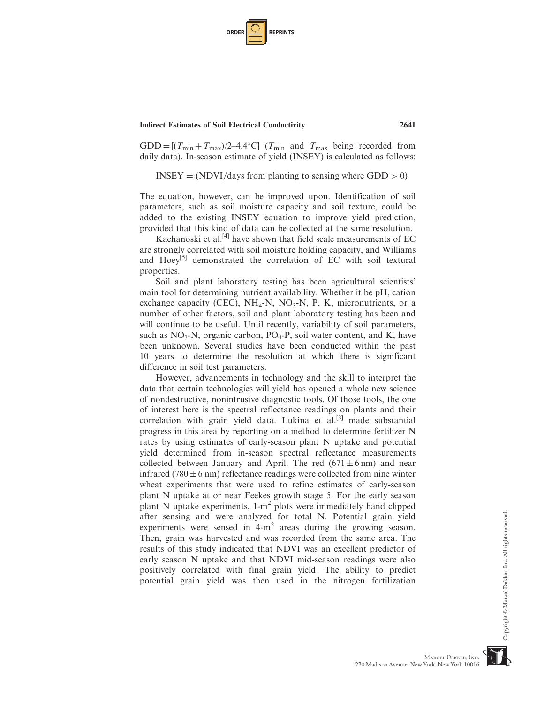| <b>ORDER</b> |  | <b>REPRINTS</b> |
|--------------|--|-----------------|
|--------------|--|-----------------|

 $GDD = [(T_{min} + T_{max})/2-4.4^{\circ}C]$  ( $T_{min}$  and  $T_{max}$  being recorded from daily data). In-season estimate of yield (INSEY) is calculated as follows:

 $INSEY = (NDVI/days from planning to sensing where GDD > 0)$ 

The equation, however, can be improved upon. Identification of soil parameters, such as soil moisture capacity and soil texture, could be added to the existing INSEY equation to improve yield prediction, provided that this kind of data can be collected at the same resolution.

Kachanoski et al.<sup>[4]</sup> have shown that field scale measurements of EC are strongly correlated with soil moisture holding capacity, and Williams and Hoey<sup>[5]</sup> demonstrated the correlation of EC with soil textural properties.

Soil and plant laboratory testing has been agricultural scientists' main tool for determining nutrient availability. Whether it be pH, cation exchange capacity (CEC),  $NH_4-N$ ,  $NO_3-N$ , P, K, micronutrients, or a number of other factors, soil and plant laboratory testing has been and will continue to be useful. Until recently, variability of soil parameters, such as  $NO_3-N$ , organic carbon,  $PO_4-P$ , soil water content, and K, have been unknown. Several studies have been conducted within the past 10 years to determine the resolution at which there is significant difference in soil test parameters.

However, advancements in technology and the skill to interpret the data that certain technologies will yield has opened a whole new science of nondestructive, nonintrusive diagnostic tools. Of those tools, the one of interest here is the spectral reflectance readings on plants and their correlation with grain yield data. Lukina et al.<sup>[3]</sup> made substantial progress in this area by reporting on a method to determine fertilizer N rates by using estimates of early-season plant N uptake and potential yield determined from in-season spectral reflectance measurements collected between January and April. The red  $(671 \pm 6 \text{ nm})$  and near infrared (780  $\pm$  6 nm) reflectance readings were collected from nine winter wheat experiments that were used to refine estimates of early-season plant N uptake at or near Feekes growth stage 5. For the early season plant N uptake experiments,  $1-m^2$  plots were immediately hand clipped after sensing and were analyzed for total N. Potential grain yield experiments were sensed in  $4-m^2$  areas during the growing season. Then, grain was harvested and was recorded from the same area. The results of this study indicated that NDVI was an excellent predictor of early season N uptake and that NDVI mid-season readings were also positively correlated with final grain yield. The ability to predict potential grain yield was then used in the nitrogen fertilization

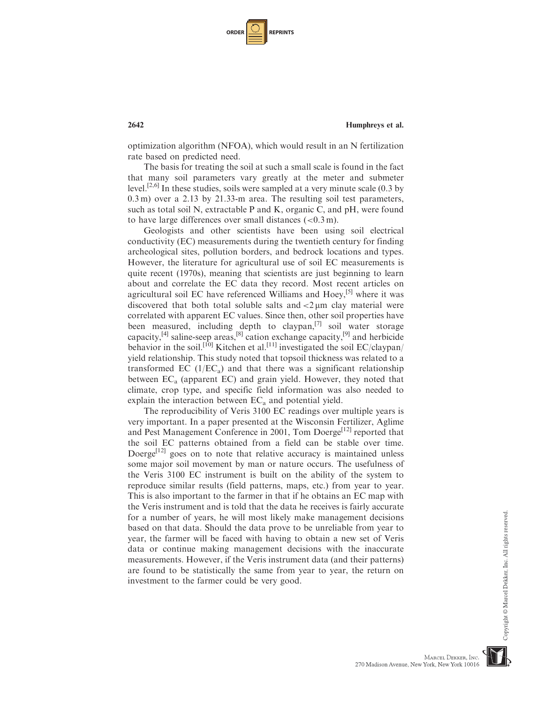| <b>ORDER</b> |  | <b>REPRINTS</b> |
|--------------|--|-----------------|
|--------------|--|-----------------|

optimization algorithm (NFOA), which would result in an N fertilization rate based on predicted need.

The basis for treating the soil at such a small scale is found in the fact that many soil parameters vary greatly at the meter and submeter level.<sup>[2,6]</sup> In these studies, soils were sampled at a very minute scale  $(0.3 \text{ by } 10^{-10})$ 0.3 m) over a 2.13 by 21.33-m area. The resulting soil test parameters, such as total soil N, extractable P and K, organic C, and pH, were found to have large differences over small distances  $(<0.3 \text{ m})$ .

Geologists and other scientists have been using soil electrical conductivity (EC) measurements during the twentieth century for finding archeological sites, pollution borders, and bedrock locations and types. However, the literature for agricultural use of soil EC measurements is quite recent (1970s), meaning that scientists are just beginning to learn about and correlate the EC data they record. Most recent articles on agricultural soil EC have referenced Williams and Hoey,<sup>[5]</sup> where it was discovered that both total soluble salts and  $\langle 2 \mu m \rangle$  clay material were correlated with apparent EC values. Since then, other soil properties have been measured, including depth to claypan, $^{[7]}$  soil water storage capacity,<sup>[4]</sup> saline-seep areas,<sup>[8]</sup> cation exchange capacity,<sup>[9]</sup> and herbicide behavior in the soil.<sup>[10]</sup> Kitchen et al.<sup>[11]</sup> investigated the soil EC/claypan/ yield relationship. This study noted that topsoil thickness was related to a transformed EC  $(1/EC_a)$  and that there was a significant relationship between  $EC<sub>a</sub>$  (apparent EC) and grain yield. However, they noted that climate, crop type, and specific field information was also needed to explain the interaction between  $EC<sub>a</sub>$  and potential yield.

The reproducibility of Veris 3100 EC readings over multiple years is very important. In a paper presented at the Wisconsin Fertilizer, Aglime and Pest Management Conference in 2001, Tom Doerge<sup>[12]</sup> reported that the soil EC patterns obtained from a field can be stable over time. Doerge<sup>[12]</sup> goes on to note that relative accuracy is maintained unless some major soil movement by man or nature occurs. The usefulness of the Veris 3100 EC instrument is built on the ability of the system to reproduce similar results (field patterns, maps, etc.) from year to year. This is also important to the farmer in that if he obtains an EC map with the Veris instrument and is told that the data he receives is fairly accurate for a number of years, he will most likely make management decisions based on that data. Should the data prove to be unreliable from year to year, the farmer will be faced with having to obtain a new set of Veris data or continue making management decisions with the inaccurate measurements. However, if the Veris instrument data (and their patterns) are found to be statistically the same from year to year, the return on investment to the farmer could be very good.

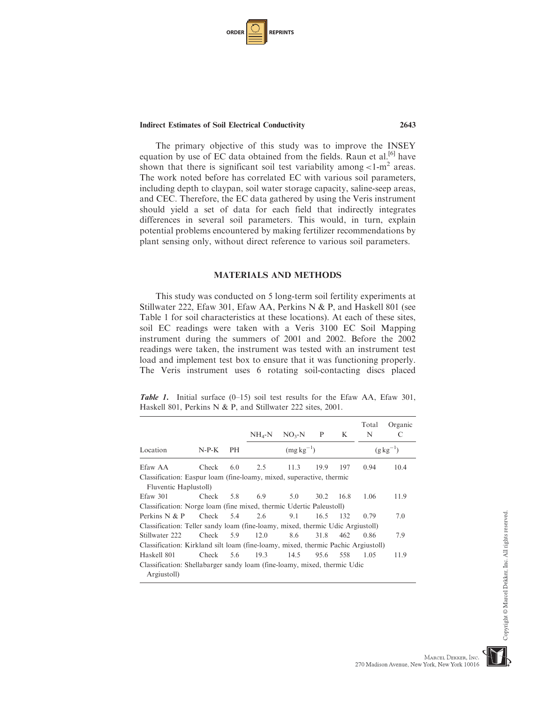| <b>ORDER I</b> |  | <b>REPRINTS</b> |
|----------------|--|-----------------|
|----------------|--|-----------------|

The primary objective of this study was to improve the INSEY equation by use of EC data obtained from the fields. Raun et al.<sup>[6]</sup> have shown that there is significant soil test variability among  $\langle 1-m^2 \rangle$  areas. The work noted before has correlated EC with various soil parameters, including depth to claypan, soil water storage capacity, saline-seep areas, and CEC. Therefore, the EC data gathered by using the Veris instrument should yield a set of data for each field that indirectly integrates differences in several soil parameters. This would, in turn, explain potential problems encountered by making fertilizer recommendations by plant sensing only, without direct reference to various soil parameters.

# MATERIALS AND METHODS

This study was conducted on 5 long-term soil fertility experiments at Stillwater 222, Efaw 301, Efaw AA, Perkins N & P, and Haskell 801 (see Table 1 for soil characteristics at these locations). At each of these sites, soil EC readings were taken with a Veris 3100 EC Soil Mapping instrument during the summers of 2001 and 2002. Before the 2002 readings were taken, the instrument was tested with an instrument test load and implement test box to ensure that it was functioning properly. The Veris instrument uses 6 rotating soil-contacting discs placed

**Table 1.** Initial surface  $(0-15)$  soil test results for the Efaw AA, Efaw 301, Haskell 801, Perkins N & P, and Stillwater 222 sites, 2001.

|                                                                                         |           |           | $NH_4-N$ | $NO3-N$       | P    | K    | Total<br>N | Organic<br>C     |
|-----------------------------------------------------------------------------------------|-----------|-----------|----------|---------------|------|------|------------|------------------|
| Location                                                                                | $N-P-K$   | <b>PH</b> |          | $(mgkg^{-1})$ |      |      |            | $(g \, kg^{-1})$ |
| Efaw AA                                                                                 | Check     | 6.0       | 2.5      | 11.3          | 19.9 | 197  | 0.94       | 10.4             |
| Classification: Easpur loam (fine-loamy, mixed, superactive, thermic                    |           |           |          |               |      |      |            |                  |
| Fluventic Haplustoll)                                                                   |           |           |          |               |      |      |            |                  |
| Efaw 301                                                                                | Check     | 5.8       | 6.9      | 5.0           | 30.2 | 16.8 | 1.06       | 11.9             |
| Classification: Norge loam (fine mixed, thermic Udertic Paleustoll)                     |           |           |          |               |      |      |            |                  |
| Perkins $N & P$                                                                         | Check 5.4 |           | 2.6      | 9.1           | 16.5 | 132  | 0.79       | 7.0              |
| Classification: Teller sandy loam (fine-loamy, mixed, thermic Udic Argiustoll)          |           |           |          |               |      |      |            |                  |
| Stillwater 222                                                                          | Check     | 5.9       | 12.0     | 8.6           | 31.8 | 462  | 0.86       | 7.9              |
| Classification: Kirkland silt loam (fine-loamy, mixed, thermic Pachic Argiustoll)       |           |           |          |               |      |      |            |                  |
| Haskell 801                                                                             | Check     | 5.6       | 19.3     | 14.5          | 95.6 | 558  | 1.05       | 11.9             |
| Classification: Shellabarger sandy loam (fine-loamy, mixed, thermic Udic<br>Argiustoll) |           |           |          |               |      |      |            |                  |

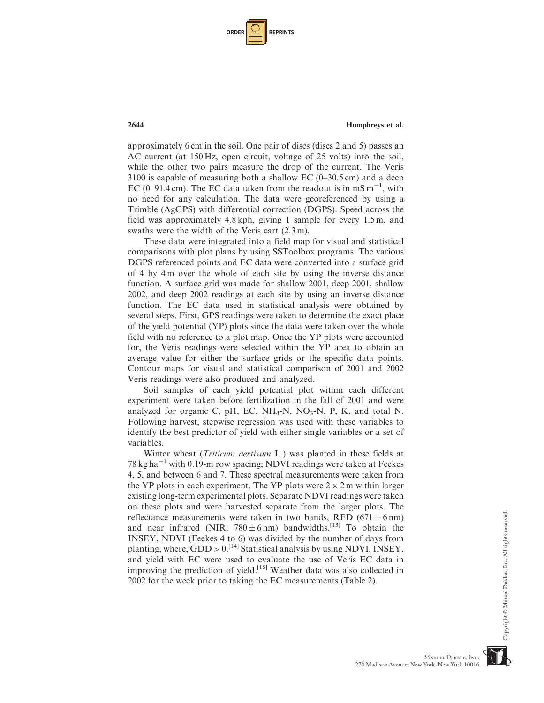| <b>ORDER</b> |  | <b>REPRINTS</b> |
|--------------|--|-----------------|
|--------------|--|-----------------|

approximately 6 cm in the soil. One pair of discs (discs 2 and 5) passes an AC current (at 150 Hz, open circuit, voltage of 25 volts) into the soil, while the other two pairs measure the drop of the current. The Veris  $3100$  is capable of measuring both a shallow EC (0–30.5 cm) and a deep EC (0–91.4 cm). The EC data taken from the readout is in  $mS m^{-1}$ , with no need for any calculation. The data were georeferenced by using a Trimble (AgGPS) with differential correction (DGPS). Speed across the field was approximately 4.8 kph, giving 1 sample for every 1.5 m, and swaths were the width of the Veris cart (2.3 m).

These data were integrated into a field map for visual and statistical comparisons with plot plans by using SSToolbox programs. The various DGPS referenced points and EC data were converted into a surface grid of 4 by 4 m over the whole of each site by using the inverse distance function. A surface grid was made for shallow 2001, deep 2001, shallow 2002, and deep 2002 readings at each site by using an inverse distance function. The EC data used in statistical analysis were obtained by several steps. First, GPS readings were taken to determine the exact place of the yield potential (YP) plots since the data were taken over the whole field with no reference to a plot map. Once the YP plots were accounted for, the Veris readings were selected within the YP area to obtain an average value for either the surface grids or the specific data points. Contour maps for visual and statistical comparison of 2001 and 2002 Veris readings were also produced and analyzed.

Soil samples of each yield potential plot within each different experiment were taken before fertilization in the fall of 2001 and were analyzed for organic C, pH, EC,  $NH_4-N$ ,  $NO_3-N$ , P, K, and total N. Following harvest, stepwise regression was used with these variables to identify the best predictor of yield with either single variables or a set of variables.

Winter wheat (Triticum aestivum L.) was planted in these fields at 78 kg ha<sup> $-1$ </sup> with 0.19-m row spacing; NDVI readings were taken at Feekes 4, 5, and between 6 and 7. These spectral measurements were taken from the YP plots in each experiment. The YP plots were  $2 \times 2$  m within larger existing long-term experimental plots. Separate NDVI readings were taken on these plots and were harvested separate from the larger plots. The reflectance measurements were taken in two bands, RED  $(671 \pm 6 \text{ nm})$ and near infrared (NIR;  $780 \pm 6$  nm) bandwidths.<sup>[13]</sup> To obtain the INSEY, NDVI (Feekes 4 to 6) was divided by the number of days from planting, where,  $GDD > 0$ .<sup>[14]</sup> Statistical analysis by using NDVI, INSEY, and yield with EC were used to evaluate the use of Veris EC data in improving the prediction of yield.<sup>[15]</sup> Weather data was also collected in 2002 for the week prior to taking the EC measurements (Table 2).



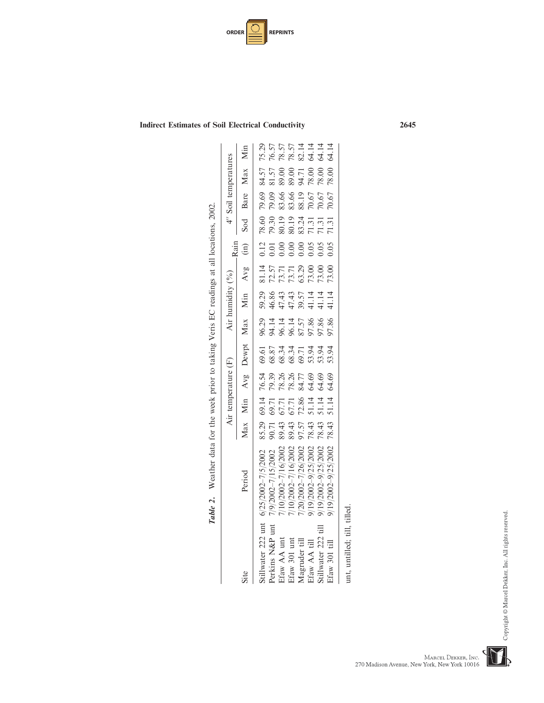| <b>ORDER</b> | <b>REPRINTS</b> |
|--------------|-----------------|
|--------------|-----------------|

|                     | Table 2. Weather data for the week prior to taking Veris EC readings at all locations, 2002. |                         |                     |                                                    |                                             |                                            |                         |                                           |         |                                           |                                           |                         |                                  |
|---------------------|----------------------------------------------------------------------------------------------|-------------------------|---------------------|----------------------------------------------------|---------------------------------------------|--------------------------------------------|-------------------------|-------------------------------------------|---------|-------------------------------------------|-------------------------------------------|-------------------------|----------------------------------|
|                     |                                                                                              |                         | Air temperature (F) |                                                    |                                             |                                            | Air humidity (%)        |                                           | $-Rain$ |                                           | 4" Soil temperatures                      |                         |                                  |
| Site                | Period                                                                                       |                         |                     |                                                    | Max Min Avg Dewpt Max Min Avg (in)          |                                            |                         |                                           |         |                                           | Sod Bare Max                              |                         | Min                              |
| Stillwater 222 unt  | $6/25/2002 - 7/5/2002$                                                                       |                         |                     |                                                    |                                             |                                            |                         |                                           | 0.12    | 78.60                                     | 79.69                                     | 84.57                   | 75.29                            |
| Perkins N&P unt     | 7/9/2002-7/15/2002                                                                           | 85.29<br>90.71          |                     |                                                    |                                             |                                            |                         |                                           |         |                                           | 79.09                                     | 81.57                   | 76.57                            |
| Efaw AA unt         | 7/10/2002-7/16/2002                                                                          |                         |                     |                                                    |                                             |                                            |                         |                                           |         |                                           |                                           |                         |                                  |
| Efaw 301 unt        | 7/10/2002-7/16/2002                                                                          | 89.43                   |                     |                                                    |                                             |                                            |                         |                                           |         |                                           |                                           | 89.00<br>89.00          |                                  |
| Magruder till       | $7/20/2002 - 7/26/2002$                                                                      | 97.57<br>78.43<br>78.43 |                     |                                                    |                                             |                                            |                         | 81.14<br>72.57<br>73.71<br>73.00<br>73.00 |         |                                           | 83.66<br>83.66<br>88.19<br>70.67<br>70.67 | 94.71<br>78.00<br>78.00 | 78.57<br>78.57<br>82.14<br>64.14 |
| Efaw AA till        | 9/19/2002-9/25/2002                                                                          |                         |                     |                                                    |                                             |                                            |                         |                                           |         |                                           |                                           |                         |                                  |
| Stillwater 222 till | 9/19/2002-9/25/2002                                                                          |                         |                     | 16.54<br>16.93 16.59<br>16.93 16.59<br>16.93 16.59 | 6<br>6 8 3 3 4 5 5 9 9<br>6 8 8 8 9 6 7 8 9 | 96.73<br>94.1445<br>95.57.866<br>95.57.866 | $39.864377444114844144$ |                                           |         | 79.30<br>80.19<br>80.13<br>71.31<br>71.31 |                                           |                         |                                  |
| Efaw 301 till       | 9/19/2002-9/25/2002                                                                          | 78.43                   |                     |                                                    |                                             |                                            |                         | 73.00                                     | 0.05    | 71.31                                     | 70.67                                     | 78.00                   | 64.14                            |
|                     |                                                                                              |                         |                     |                                                    |                                             |                                            |                         |                                           |         |                                           |                                           |                         |                                  |

unt, untilled; till, tilled. unt, untilled; till, tilled.

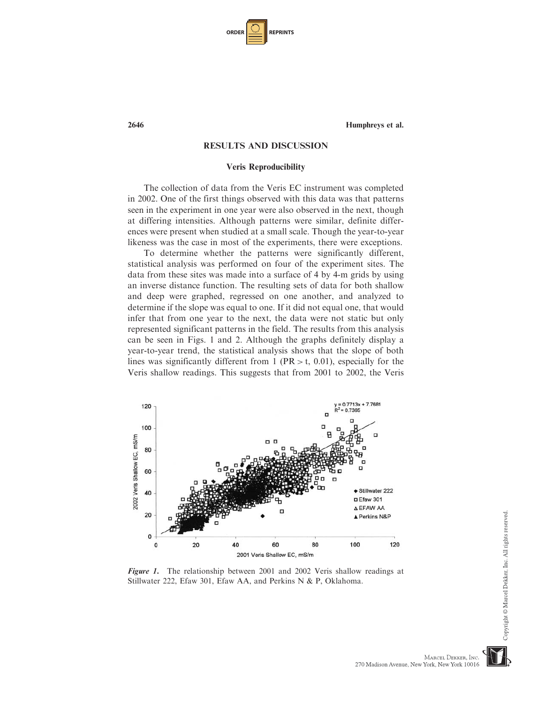| <b>ORDER</b> |  | <b>REPRINTS</b> |
|--------------|--|-----------------|
|--------------|--|-----------------|

# RESULTS AND DISCUSSION

#### Veris Reproducibility

The collection of data from the Veris EC instrument was completed in 2002. One of the first things observed with this data was that patterns seen in the experiment in one year were also observed in the next, though at differing intensities. Although patterns were similar, definite differences were present when studied at a small scale. Though the year-to-year likeness was the case in most of the experiments, there were exceptions.

To determine whether the patterns were significantly different, statistical analysis was performed on four of the experiment sites. The data from these sites was made into a surface of 4 by 4-m grids by using an inverse distance function. The resulting sets of data for both shallow and deep were graphed, regressed on one another, and analyzed to determine if the slope was equal to one. If it did not equal one, that would infer that from one year to the next, the data were not static but only represented significant patterns in the field. The results from this analysis can be seen in Figs. 1 and 2. Although the graphs definitely display a year-to-year trend, the statistical analysis shows that the slope of both lines was significantly different from 1 (PR  $>$  t, 0.01), especially for the Veris shallow readings. This suggests that from 2001 to 2002, the Veris



Figure 1. The relationship between 2001 and 2002 Veris shallow readings at Stillwater 222, Efaw 301, Efaw AA, and Perkins N & P, Oklahoma.

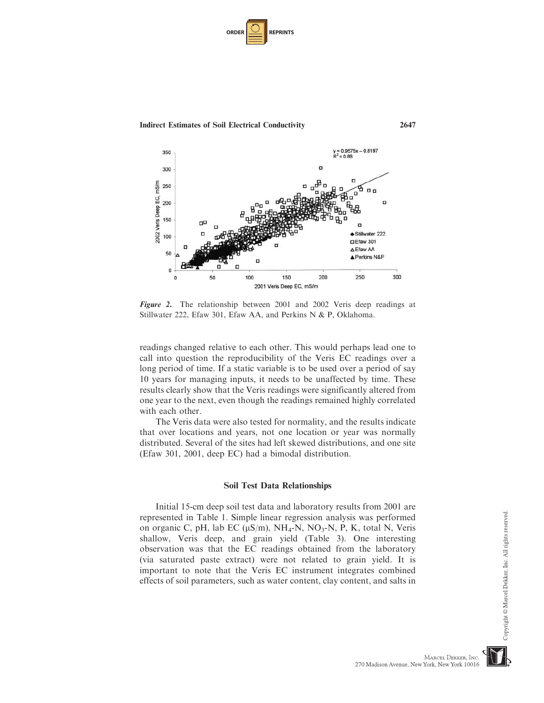| <b>ORDER</b> |  | <b>REPRINTS</b> |
|--------------|--|-----------------|
|--------------|--|-----------------|





Figure 2. The relationship between 2001 and 2002 Veris deep readings at Stillwater 222, Efaw 301, Efaw AA, and Perkins N & P, Oklahoma.

readings changed relative to each other. This would perhaps lead one to call into question the reproducibility of the Veris EC readings over a long period of time. If a static variable is to be used over a period of say 10 years for managing inputs, it needs to be unaffected by time. These results clearly show that the Veris readings were significantly altered from one year to the next, even though the readings remained highly correlated with each other.

The Veris data were also tested for normality, and the results indicate that over locations and years, not one location or year was normally distributed. Several of the sites had left skewed distributions, and one site (Efaw 301, 2001, deep EC) had a bimodal distribution.

# Soil Test Data Relationships

Initial 15-cm deep soil test data and laboratory results from 2001 are represented in Table 1. Simple linear regression analysis was performed on organic C, pH, lab EC ( $\mu S/m$ ), NH<sub>4</sub>-N, NO<sub>3</sub>-N, P, K, total N, Veris shallow, Veris deep, and grain yield (Table 3). One interesting observation was that the EC readings obtained from the laboratory (via saturated paste extract) were not related to grain yield. It is important to note that the Veris EC instrument integrates combined effects of soil parameters, such as water content, clay content, and salts in

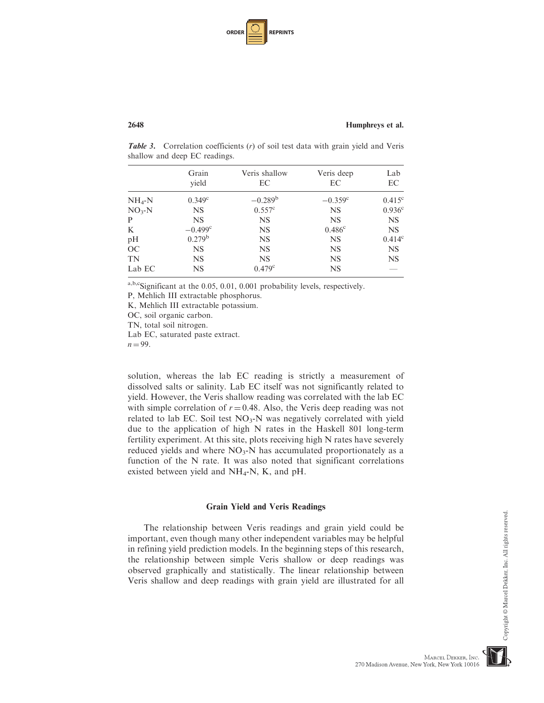| <b>ORDER</b> |  | <b>REPRINTS</b> |
|--------------|--|-----------------|
|--------------|--|-----------------|

**Table 3.** Correlation coefficients  $(r)$  of soil test data with grain yield and Veris shallow and deep EC readings.

|          | Grain<br>yield        | Veris shallow<br>EC | Veris deep<br>EС   | Lab<br>EC          |
|----------|-----------------------|---------------------|--------------------|--------------------|
| $NH_4-N$ | $0.349^{\circ}$       | $-0.289^{\rm b}$    | $-0.359^{\circ}$   | $0.415^{\circ}$    |
| $NO3-N$  | NS.                   | $0.557^{\circ}$     | <b>NS</b>          | 0.936 <sup>c</sup> |
| P        | <b>NS</b>             | <b>NS</b>           | <b>NS</b>          | <b>NS</b>          |
| K        | $-0.499$ <sup>c</sup> | <b>NS</b>           | 0.486 <sup>c</sup> | <b>NS</b>          |
| pH       | 0.279 <sup>b</sup>    | NS                  | <b>NS</b>          | $0.414^{\circ}$    |
| OC       | <b>NS</b>             | <b>NS</b>           | <b>NS</b>          | <b>NS</b>          |
| TN       | NS.                   | NS                  | <b>NS</b>          | <b>NS</b>          |
| Lab EC   | <b>NS</b>             | $0.479^{\circ}$     | <b>NS</b>          |                    |

a,b,cSignificant at the 0.05, 0.01, 0.001 probability levels, respectively.

P, Mehlich III extractable phosphorus.

K, Mehlich III extractable potassium.

OC, soil organic carbon.

TN, total soil nitrogen.

Lab EC, saturated paste extract.

 $n = 99$ .

solution, whereas the lab EC reading is strictly a measurement of dissolved salts or salinity. Lab EC itself was not significantly related to yield. However, the Veris shallow reading was correlated with the lab EC with simple correlation of  $r = 0.48$ . Also, the Veris deep reading was not related to lab EC. Soil test  $NO<sub>3</sub>-N$  was negatively correlated with yield due to the application of high N rates in the Haskell 801 long-term fertility experiment. At this site, plots receiving high N rates have severely reduced yields and where  $NO<sub>3</sub>-N$  has accumulated proportionately as a function of the N rate. It was also noted that significant correlations existed between yield and  $NH_4$ -N, K, and pH.

#### Grain Yield and Veris Readings

The relationship between Veris readings and grain yield could be important, even though many other independent variables may be helpful in refining yield prediction models. In the beginning steps of this research, the relationship between simple Veris shallow or deep readings was observed graphically and statistically. The linear relationship between Veris shallow and deep readings with grain yield are illustrated for all

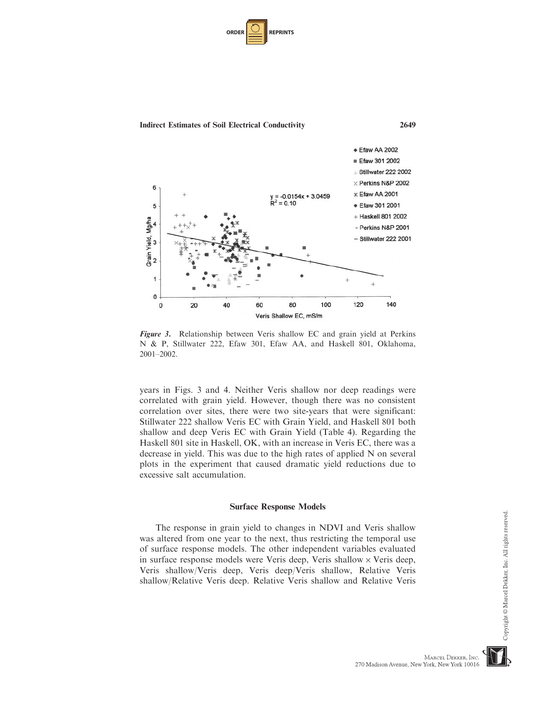| <b>ORDER</b> |  | <b>REPRINTS</b> |
|--------------|--|-----------------|
|--------------|--|-----------------|



Figure 3. Relationship between Veris shallow EC and grain yield at Perkins N & P, Stillwater 222, Efaw 301, Efaw AA, and Haskell 801, Oklahoma, 2001–2002.

years in Figs. 3 and 4. Neither Veris shallow nor deep readings were correlated with grain yield. However, though there was no consistent correlation over sites, there were two site-years that were significant: Stillwater 222 shallow Veris EC with Grain Yield, and Haskell 801 both shallow and deep Veris EC with Grain Yield (Table 4). Regarding the Haskell 801 site in Haskell, OK, with an increase in Veris EC, there was a decrease in yield. This was due to the high rates of applied N on several plots in the experiment that caused dramatic yield reductions due to excessive salt accumulation.

#### Surface Response Models

The response in grain yield to changes in NDVI and Veris shallow was altered from one year to the next, thus restricting the temporal use of surface response models. The other independent variables evaluated in surface response models were Veris deep, Veris shallow  $\times$  Veris deep, Veris shallow/Veris deep, Veris deep/Veris shallow, Relative Veris shallow/Relative Veris deep. Relative Veris shallow and Relative Veris



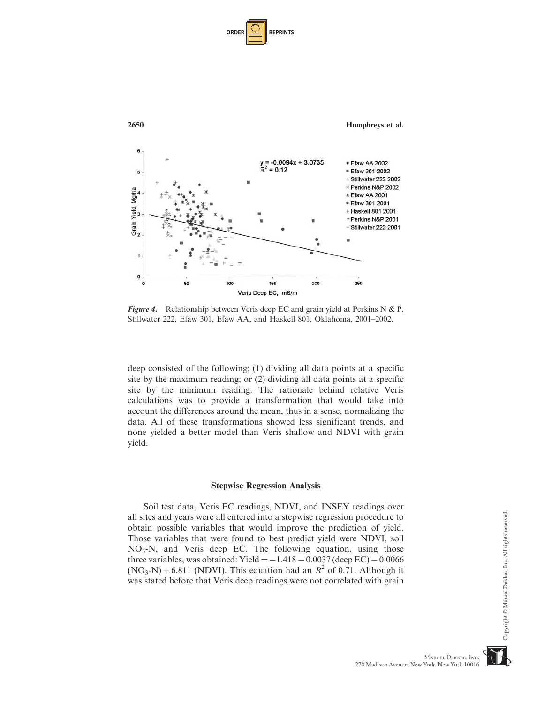| <b>ORDER</b> |  | <b>REPRINTS</b> |
|--------------|--|-----------------|
|--------------|--|-----------------|



**Figure 4.** Relationship between Veris deep EC and grain yield at Perkins N & P, Stillwater 222, Efaw 301, Efaw AA, and Haskell 801, Oklahoma, 2001–2002.

deep consisted of the following; (1) dividing all data points at a specific site by the maximum reading; or (2) dividing all data points at a specific site by the minimum reading. The rationale behind relative Veris calculations was to provide a transformation that would take into account the differences around the mean, thus in a sense, normalizing the data. All of these transformations showed less significant trends, and none yielded a better model than Veris shallow and NDVI with grain yield.

## Stepwise Regression Analysis

Soil test data, Veris EC readings, NDVI, and INSEY readings over all sites and years were all entered into a stepwise regression procedure to obtain possible variables that would improve the prediction of yield. Those variables that were found to best predict yield were NDVI, soil  $NO<sub>3</sub>$ -N, and Veris deep EC. The following equation, using those three variables, was obtained: Yield  $= -1.418 - 0.0037$  (deep EC)  $-0.0066$  $(NO<sub>3</sub>-N) + 6.811$  (NDVI). This equation had an  $R<sup>2</sup>$  of 0.71. Although it was stated before that Veris deep readings were not correlated with grain



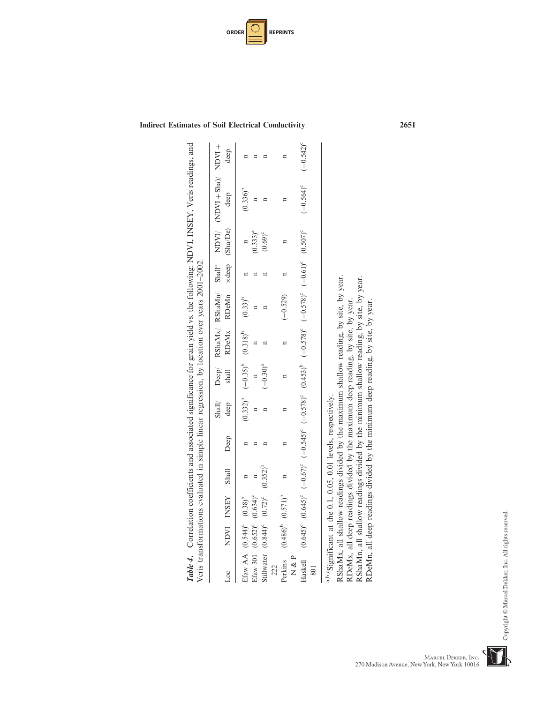| NDVI INSEY Shall<br>$\overline{c}$                                                            | Deep | deep | shall                               |                | RDeMx RDeMn ×deep (Sha/De) |   |               | Shall/ $\rho_{\rm cep}/$ $R\sin Mx /$ $R\sin Mm'$ $S$ hall <sup>a</sup> $\sim$ $N\Delta Y$ $N\Delta x$ $N\Delta y$ $N\Delta y$<br>deep | deep                    |
|-----------------------------------------------------------------------------------------------|------|------|-------------------------------------|----------------|----------------------------|---|---------------|----------------------------------------------------------------------------------------------------------------------------------------|-------------------------|
| Efaw AA $(0.544)$ <sup>c</sup> $(0.38)$ <sup>b</sup>                                          |      |      | $(0.332)^b$ $(-0.35)^b$ $(0.318)^b$ |                | $(0.33)^{b}$               |   |               | $(0.336)$ <sup>b</sup>                                                                                                                 |                         |
| $(0.634)$ <sup>c</sup><br>Efaw 301 (0.652) <sup>c</sup>                                       |      |      |                                     |                |                            |   | $(0.333)^{a}$ | $\mathbf{a}$                                                                                                                           |                         |
| $(0.352)^{b}$<br>$(0.72)^c$<br>Stillwater (0.844) <sup>c</sup>                                |      |      | $(-0.30)^{a}$                       |                |                            |   | $(0.69)^c$    |                                                                                                                                        |                         |
| $\mathbf{u}$<br>$(0.486)^b$ $(0.571)^b$<br>Perkins<br>222                                     |      |      | Ξ                                   | $\overline{a}$ | $(-0.529)$                 | Ξ | $\mathbf{a}$  | $\mathbf{a}$                                                                                                                           | Ħ                       |
| N & P                                                                                         |      |      |                                     |                |                            |   |               |                                                                                                                                        |                         |
| Haskell (0.645)° (0.645)° (-0.57)° (-0.578)° (-0.578)° (-0.578)° (-0.578)° (-0.578)° (0.507)° |      |      |                                     |                |                            |   |               | $(-0.564)^c$                                                                                                                           | $(-0.542)$ <sup>c</sup> |



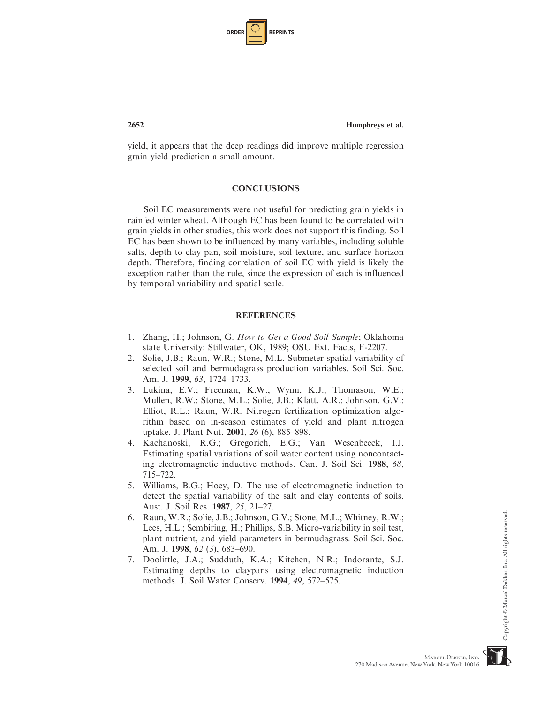| <b>ORDER</b> |  | <b>REPRINTS</b> |
|--------------|--|-----------------|
|--------------|--|-----------------|

yield, it appears that the deep readings did improve multiple regression grain yield prediction a small amount.

# **CONCLUSIONS**

Soil EC measurements were not useful for predicting grain yields in rainfed winter wheat. Although EC has been found to be correlated with grain yields in other studies, this work does not support this finding. Soil EC has been shown to be influenced by many variables, including soluble salts, depth to clay pan, soil moisture, soil texture, and surface horizon depth. Therefore, finding correlation of soil EC with yield is likely the exception rather than the rule, since the expression of each is influenced by temporal variability and spatial scale.

# REFERENCES

- 1. Zhang, H.; Johnson, G. How to Get a Good Soil Sample; Oklahoma state University: Stillwater, OK, 1989; OSU Ext. Facts, F-2207.
- 2. Solie, J.B.; Raun, W.R.; Stone, M.L. Submeter spatial variability of selected soil and bermudagrass production variables. Soil Sci. Soc. Am. J. 1999, 63, 1724–1733.
- 3. Lukina, E.V.; Freeman, K.W.; Wynn, K.J.; Thomason, W.E.; Mullen, R.W.; Stone, M.L.; Solie, J.B.; Klatt, A.R.; Johnson, G.V.; Elliot, R.L.; Raun, W.R. Nitrogen fertilization optimization algorithm based on in-season estimates of yield and plant nitrogen uptake. J. Plant Nut. 2001, 26 (6), 885–898.
- 4. Kachanoski, R.G.; Gregorich, E.G.; Van Wesenbeeck, I.J. Estimating spatial variations of soil water content using noncontacting electromagnetic inductive methods. Can. J. Soil Sci. 1988, 68, 715–722.
- 5. Williams, B.G.; Hoey, D. The use of electromagnetic induction to detect the spatial variability of the salt and clay contents of soils. Aust. J. Soil Res. 1987, 25, 21–27.
- 6. Raun, W.R.; Solie, J.B.; Johnson, G.V.; Stone, M.L.; Whitney, R.W.; Lees, H.L.; Sembiring, H.; Phillips, S.B. Micro-variability in soil test, plant nutrient, and yield parameters in bermudagrass. Soil Sci. Soc. Am. J. 1998, 62 (3), 683-690.
- 7. Doolittle, J.A.; Sudduth, K.A.; Kitchen, N.R.; Indorante, S.J. Estimating depths to claypans using electromagnetic induction methods. J. Soil Water Conserv. 1994, 49, 572–575.

Copyright © Marcel Dekker, Inc. All rights reserved

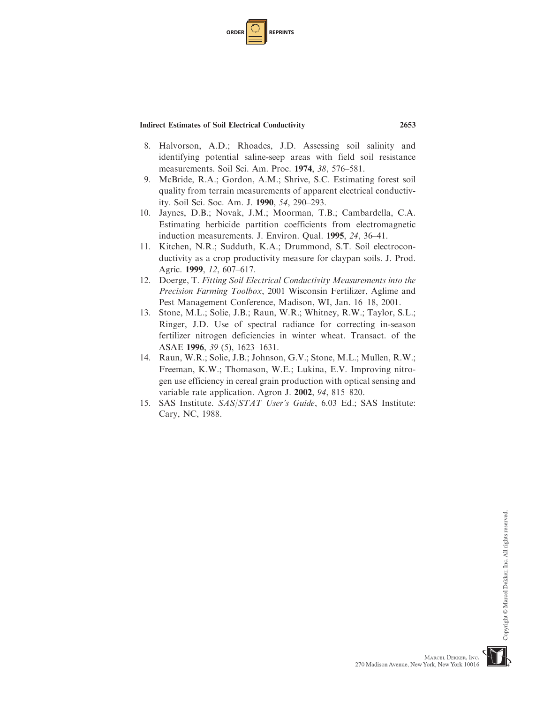| <b>ORDER I</b> |  | <b>REPRINTS</b> |
|----------------|--|-----------------|
|----------------|--|-----------------|

- 8. Halvorson, A.D.; Rhoades, J.D. Assessing soil salinity and identifying potential saline-seep areas with field soil resistance measurements. Soil Sci. Am. Proc. 1974, 38, 576–581.
- 9. McBride, R.A.; Gordon, A.M.; Shrive, S.C. Estimating forest soil quality from terrain measurements of apparent electrical conductivity. Soil Sci. Soc. Am. J. 1990, 54, 290–293.
- 10. Jaynes, D.B.; Novak, J.M.; Moorman, T.B.; Cambardella, C.A. Estimating herbicide partition coefficients from electromagnetic induction measurements. J. Environ. Qual. 1995, 24, 36–41.
- 11. Kitchen, N.R.; Sudduth, K.A.; Drummond, S.T. Soil electroconductivity as a crop productivity measure for claypan soils. J. Prod. Agric. 1999, 12, 607–617.
- 12. Doerge, T. Fitting Soil Electrical Conductivity Measurements into the Precision Farming Toolbox, 2001 Wisconsin Fertilizer, Aglime and Pest Management Conference, Madison, WI, Jan. 16–18, 2001.
- 13. Stone, M.L.; Solie, J.B.; Raun, W.R.; Whitney, R.W.; Taylor, S.L.; Ringer, J.D. Use of spectral radiance for correcting in-season fertilizer nitrogen deficiencies in winter wheat. Transact. of the ASAE 1996, 39 (5), 1623–1631.
- 14. Raun, W.R.; Solie, J.B.; Johnson, G.V.; Stone, M.L.; Mullen, R.W.; Freeman, K.W.; Thomason, W.E.; Lukina, E.V. Improving nitrogen use efficiency in cereal grain production with optical sensing and variable rate application. Agron J. 2002, 94, 815–820.
- 15. SAS Institute. SAS/STAT User's Guide, 6.03 Ed.; SAS Institute: Cary, NC, 1988.